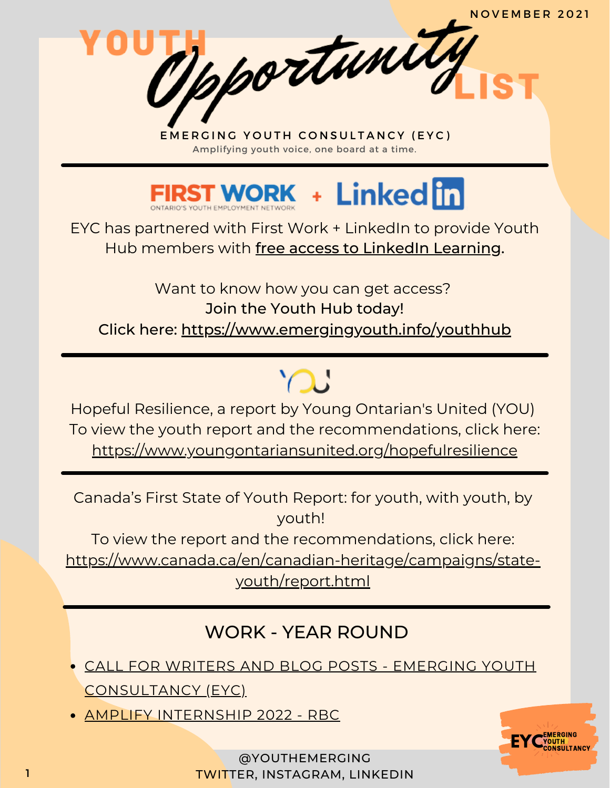

### EYC has partnered with First Work + LinkedIn to provide Youth Hub members with free access to LinkedIn Learning.

Want to know how you can get access? Join the Youth Hub today! Click here: <https://www.emergingyouth.info/youthhub>

Hopeful Resilience, a report by Young Ontarian's United (YOU) To view the youth report and the recommendations, click here: <https://www.youngontariansunited.org/hopefulresilience>

 $\bigcap$ 

Canada's First State of Youth Report: for youth, with youth, by youth!

To view the report and the recommendations, click here:

[https://www.canada.ca/en/canadian-heritage/campaigns/state-](https://www.canada.ca/en/canadian-heritage/campaigns/state-youth/report.html)

youth/report.html

## WORK - YEAR ROUND

- CALL FOR WRITERS AND BLOG POSTS EMERGING YOUTH [CONSULTANCY](https://www.emergingyouth.info/youthhub) (EYC)
- AMPLIFY [INTERNSHIP](https://jobs.rbc.com/ca/en/amplify#Amplify2022_Jobs) 2022 RBC

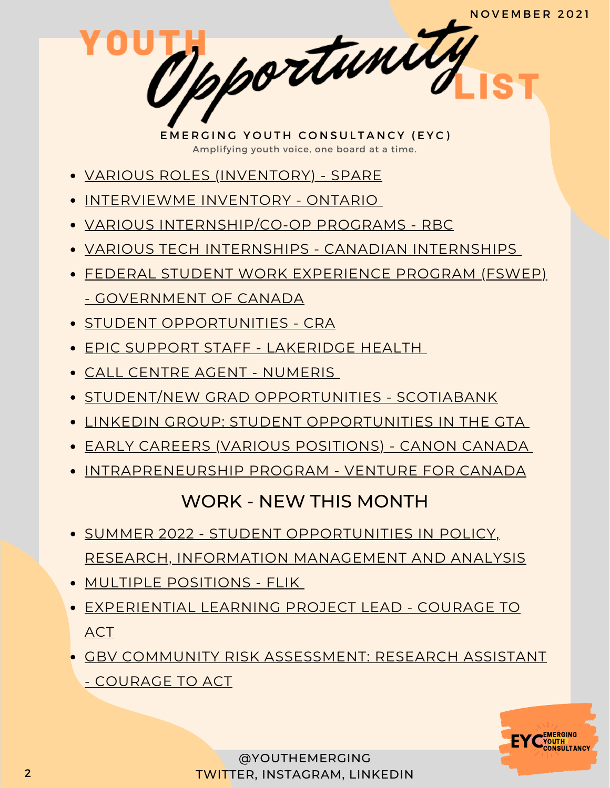- VARIOUS ROLES [\(INVENTORY\)](https://jobs.lever.co/sparelabs/90ac2a45-b8fe-4004-97ca-4f37d88bcf70) SPARE
- [INTERVIEWME](https://marsdd.formstack.com/forms/interviewme_ontario) INVENTORY ONTARIO
- VARIOUS [INTERNSHIP/CO-OP](https://jobs.rbc.com/ca/en/featuredopportunities/student-early-talent-jobs) PROGRAMS RBC
- VARIOUS TECH INTERNSHIPS CANADIAN [INTERNSHIPS](https://www.findcanadianinternships.ca/)
- FEDERAL STUDENT WORK EXPERIENCE PROGRAM (FSWEP) - [GOVERNMENT](https://www.canada.ca/en/public-service-commission/jobs/services/recruitment/students/federal-student-work-program.html) OF CANADA
- **STUDENT [OPPORTUNITIES](https://careers-carrieres.cra-arc.gc.ca/gol-ged/wcis/pub/rtrvjbpst.action?pi=D06726B228B01EDBB2C1A18D2C3EA0F2) CRA**
- EPIC SUPPORT STAFF [LAKERIDGE](https://careers.lakeridgehealth.on.ca/eRecruit/VacancyDetail.aspx?VacancyUID=000000033155) HEALTH
- CALL CENTRE AGENT [NUMERIS](https://numeris.csod.com/ux/ats/careersite/6/home/requisition/406?c=numeris)
- STUDENT/NEW GRAD [OPPORTUNITIES](https://jobs.scotiabank.com/go/Student-&-New-Grad-Jobs/2298417/?utm_campaign=JB_Sept20_Campus_CareerSite_CTA_EN) SCOTIABANK
- LINKEDIN GROUP: STUDENT [OPPORTUNITIES](https://www.linkedin.com/groups/12455311) IN THE GTA
- EARLY CAREERS (VARIOUS [POSITIONS\)](https://careers.canon.ca/early-careers/) CANON CANADA
- [INTRAPRENEURSHIP](https://ventureforcanada.ca/programs/intrapreneurship) PROGRAM VENTURE FOR CANADA

### WORK - NEW THIS MONTH

- SUMMER 2022 STUDENT [OPPORTUNITIES](https://jobs-emplois.cse-cst.gc.ca/en/node/3284) IN POLICY, RESEARCH, INFORMATION MANAGEMENT AND ANALYSIS
- MULTIPLE [POSITIONS](https://weareflik.com/careers) FLIK
- [EXPERIENTIAL](https://www.couragetoact.ca/work-with-us) LEARNING PROJECT LEAD COURAGE TO ACT
- GBV COMMUNITY RISK [ASSESSMENT:](https://www.couragetoact.ca/work-with-us) RESEARCH ASSISTANT - COURAGE TO ACT

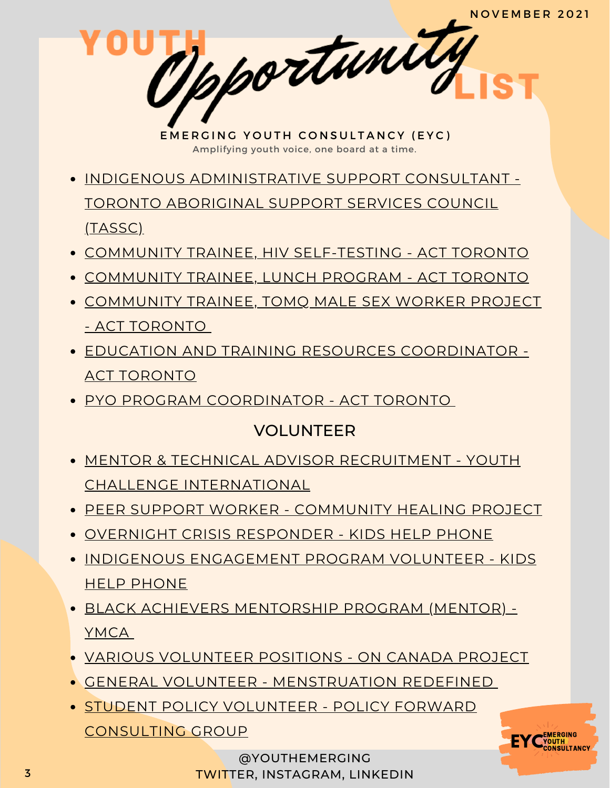- INDIGENOUS [ADMINISTRATIVE](https://www.linkedin.com/posts/tassc-toronto-7756a2a8_we-are-looking-for-an-indigenous-social-activity-6858857836898852864-8iGP/) SUPPORT CONSULTANT TORONTO ABORIGINAL SUPPORT SERVICES COUNCIL (TASSC)
- COMMUNITY TRAINEE, HIV [SELF-TESTING](https://www.actoronto.org/about-act/work-at-act/employment/community-trainee-hiv-self-testing.pdf) ACT TORONTO
- [COMMUNITY](https://www.actoronto.org/about-act/work-at-act/employment/community-trainee-lunch-program.pdf) TRAINEE, LUNCH PROGRAM ACT TORONTO
- [COMMUNITY](https://www.actoronto.org/about-act/work-at-act/employment/community-trainee-tomq-male-sex-worker-project.pdf) TRAINEE, TOMQ MALE SEX WORKER PROJECT - ACT TORONTO
- EDUCATION AND TRAINING RESOURCES [COORDINATOR](https://www.actoronto.org/about-act/work-at-act/employment/education-and-training-resources-coordinator.pdf) ACT TORONTO
- PYO PROGRAM [COORDINATOR](https://www.actoronto.org/about-act/work-at-act/employment/pyo-program-coordinato-repost-sept2021.pdf) ACT TORONTO

#### VOLUNTEER

- MENTOR & TECHNICAL ADVISOR RECRUITMENT YOUTH CHALLENGE [INTERNATIONAL](https://www.yci.org/InnovateMYFuture/Climate-Leader-call-for-mentors/)
- PEER SUPPORT WORKER [COMMUNITY](https://docs.google.com/forms/d/e/1FAIpQLSeZZAsfMLX6l0eMubTJwcnfsE2vA7KXosQXdes4u6ENLUXn7Q/viewform) HEALING PROJECT
- OVERNIGHT CRISIS [RESPONDER](https://kidshelpphone.ca/get-involved/participate/call-volunteers-crisis-text-line) KIDS HELP PHONE
- INDIGENOUS [ENGAGEMENT](https://kidshelpphone.ca/get-involved/first-nations-inuit-and-metis/volunteer-for-our-indigenous-engagement-program/) PROGRAM VOLUNTEER KIDS HELP PHONE
- BLACK ACHIEVERS [MENTORSHIP](https://ymcagta.org/youth-programs/Black-Achievers-Mentorship-Program) PROGRAM (MENTOR) YMCA
- VARIOUS [VOLUNTEER](https://docs.google.com/forms/d/e/1FAIpQLSciMF1ROT1f_mGS2Wx822QU0zDYcf3zka0UC9rIAM9z03W8Pw/viewform) POSITIONS ON CANADA PROJECT
- GENERAL VOLUNTEER [MENSTRUATION](https://docs.google.com/forms/d/e/1FAIpQLSe-ORQRxArU5ZwQWT3JfGEjRtyUwanp5p64UPHwK1nL5Pz__w/viewform) REDEFINED
- **STUDENT POLICY VOLUNTEER POLICY FORWARD** [CONSULTING](https://www.linkedin.com/posts/policy-forward-consulting-group_policyforward-policyconsultants-volunteer-activity-6848327793269387264-k9jy) GROUP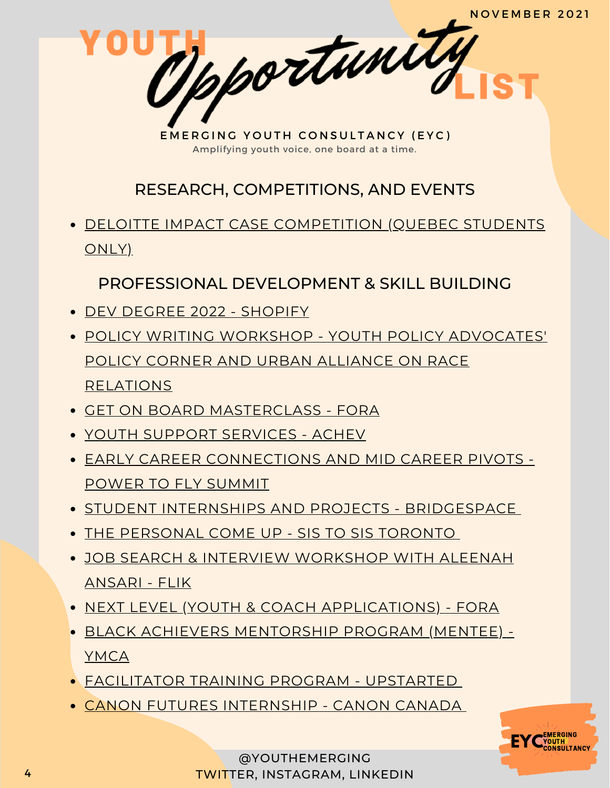- CANON FUTURES [INTERNSHIP](https://www.canonfutures.ca/) CANON CANADA
- [FACILITATOR](https://docs.google.com/forms/d/e/1FAIpQLSe1fDhYODRagameDOKsf4_FfWns-yNAQEeNTHWK5Pn7XxHuog/viewform) TRAINING PROGRAM UPSTARTED
- YMCA
- NEXT LEVEL (YOUTH & COACH [APPLICATIONS\)](https://girls20.submittable.com/submit) FORA BLACK ACHIEVERS [MENTORSHIP](https://ymcagta.org/youth-programs/Black-Achievers-Mentorship-Program) PROGRAM (MENTEE) -
- JOB SEARCH & INTERVIEW [WORKSHOP](https://www.runtheworld.today/app/c/jobsearch-interviewskills) WITH ALEENAH ANSARI - FLIK

THE [PERSONAL](https://docs.google.com/forms/d/e/1FAIpQLSckp26KhOm7DfXsaNb0_JDS_plLspDnUygOP1cPJbexch6XDA/viewform) COME UP - SIS TO SIS TORONTO

POWER TO FLY SUMMIT STUDENT INTERNSHIPS AND PROJECTS - [BRIDGESPACE](https://bridgespace.io/)

EARLY CAREER [CONNECTIONS](https://summit.powertofly.com/) AND MID CAREER PIVOTS -

POLICY CORNER AND URBAN ALLIANCE ON RACE

GET ON BOARD [MASTERCLASS](https://girls20.submittable.com/submit) - FORA YOUTH SUPPORT [SERVICES](https://achev.ca/services/youth/) - ACHEV

ONLY)

RELATIONS

- DEV DEGREE 2022 [SHOPIFY](https://jobs.smartrecruiters.com/ni/Shopify/f92f7d2f-7359-4066-9111-7df6054c6dc6-dev-degree-2022) POLICY WRITING WORKSHOP - YOUTH POLICY [ADVOCATES'](https://www.linkedin.com/posts/ypa-policycorner_training-event-policywriting-activity-6848999489592725504-BOQt)
- PROFESSIONAL DEVELOPMENT & SKILL BUILDING

EMERGING YOUTH CONSULTANCY (EYC) Amplifying youth voice, one board at a time. N portunity

## RESEARCH, COMPETITIONS, AND EVENTS

DELOITTE IMPACT CASE [COMPETITION](https://deloittecanada.ca1.qualtrics.com/jfe/form/SV_1ANV0iPqNAzOAxE) (QUEBEC STUDENTS

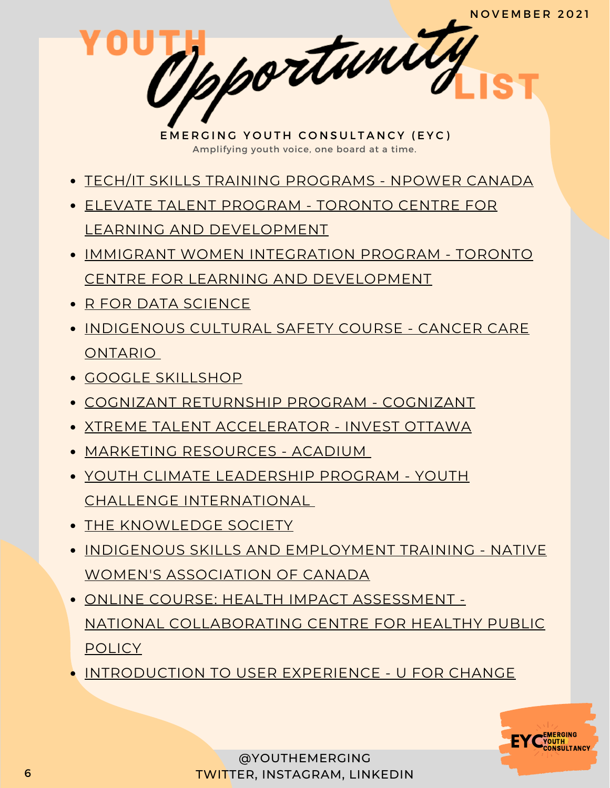- TECH/IT SKILLS TRAINING [PROGRAMS](https://npowercanada.ca/) NPOWER CANADA
- ELEVATE TALENT PROGRAM TORONTO CENTRE FOR LEARNING AND [DEVELOPMENT](https://www.tccld.org/programs/elevatetalent/)
- IMMIGRANT WOMEN INTEGRATION PROGRAM TORONTO CENTRE FOR LEARNING AND [DEVELOPMENT](https://survey.zohopublic.com/zs/I5CCbQ)
- R FOR DATA [SCIENCE](https://r4ds.had.co.nz/)
- **[INDIGENOUS](https://elearning.cancercare.on.ca/course/view.php?id=101) CULTURAL SAFETY COURSE CANCER CARE** ONTARIO
- GOOGLE [SKILLSHOP](https://skillshop.withgoogle.com/)
- COGNIZANT [RETURNSHIP](https://careers.cognizant.com/global/en/cognizant-returnship-program) PROGRAM COGNIZANT
- XTREME TALENT [ACCELERATOR](https://www.investottawa.ca/xtreme-talent-accelerator/?utm_source=LinkedIn&utm_medium=Paid%20Ads&utm_campaign=XTAP%20Paid%20Ads&li_fat_id=f24b5ec5-db43-4428-88f9-92b5a2d0c0dc) INVEST OTTAWA
- MARKETING [RESOURCES](https://acadium.com/) ACADIUM
- YOUTH CLIMATE LEADERSHIP PROGRAM YOUTH CHALLENGE [INTERNATIONAL](https://www.yci.org/innovatemyfuture/youth-climate-leadership/)
- THE [KNOWLEDGE](https://tks.world/program/) SOCIETY
- **INDIGENOUS SKILLS AND [EMPLOYMENT](https://www.nwac.ca/iset/) TRAINING NATIVE** WOMEN'S ASSOCIATION OF CANADA
- ONLINE COURSE: HEALTH IMPACT ASSESSMENT NATIONAL [COLLABORATING](https://www.ncchpp.ca/274/online-course.ccnpps) CENTRE FOR HEALTHY PUBLIC **POLICY**
- [INTRODUCTION](https://docs.google.com/forms/d/e/1FAIpQLSctSd9ZAcZBpswQj0URzEHVXlpF--qyT2AR6_1tKyoFS1iIYQ/viewform) TO USER EXPERIENCE U FOR CHANGE

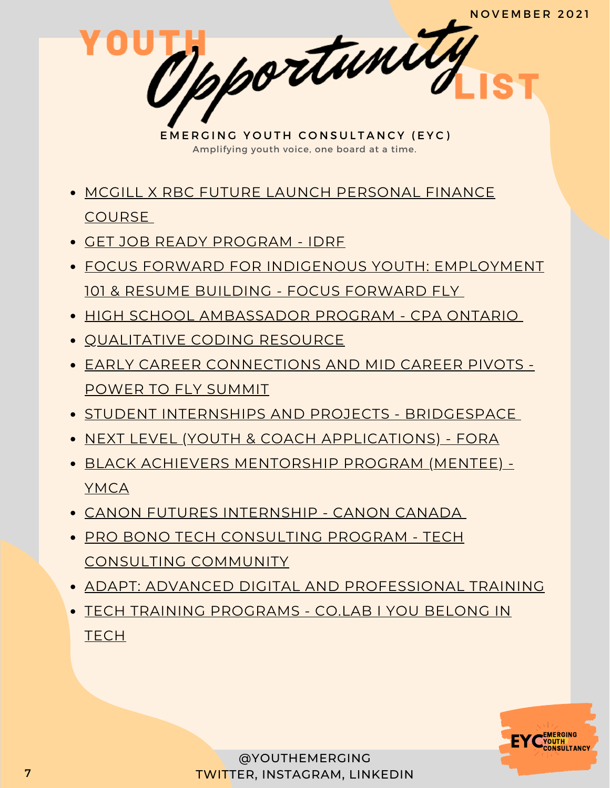- MCGILL X RBC FUTURE LAUNCH [PERSONAL](https://learn.mcgillpersonalfinance.com/account/login/) FINANCE COURSE
- GET JOB READY [PROGRAM](https://idrf.ca/project/getjobready/) IDRF
- FOCUS FORWARD FOR INDIGENOUS YOUTH: [EMPLOYMENT](https://docs.google.com/forms/d/e/1FAIpQLSfRCREo2hIabn1L271SDl0wPRkApB5N12_6bON-DnyYu8lGEg/viewform) 101 & RESUME BUILDING - FOCUS FORWARD FLY
- HIGH SCHOOL [AMBASSADOR](https://www.cpaontario.ca/become-a-cpa/why-cpa/high-school-ambassador-program) PROGRAM CPA ONTARIO
- **OUALITATIVE CODING RESOURCE**
- EARLY CAREER [CONNECTIONS](https://summit.powertofly.com/) AND MID CAREER PIVOTS POWER TO FLY SUMMIT
- **STUDENT INTERNSHIPS AND PROJECTS [BRIDGESPACE](https://bridgespace.io/)**
- NEXT LEVEL (YOUTH & COACH [APPLICATIONS\)](https://girls20.submittable.com/submit) FORA
- BLACK ACHIEVERS [MENTORSHIP](https://ymcagta.org/youth-programs/Black-Achievers-Mentorship-Program) PROGRAM (MENTEE) YMCA
- CANON FUTURES [INTERNSHIP](https://www.canonfutures.ca/) CANON CANADA
- PRO BONO TECH [CONSULTING](https://techconsultingcommunity.com/pro-bono-tech-consulting/) PROGRAM TECH CONSULTING COMMUNITY
- ADAPT: ADVANCED DIGITAL AND [PROFESSIONAL](https://www.ryerson.ca/adapt/) TRAINING
- TECH TRAINING [PROGRAMS](https://www.joincolab.io/#Program-Tracks) CO.LAB I YOU BELONG IN **TECH**

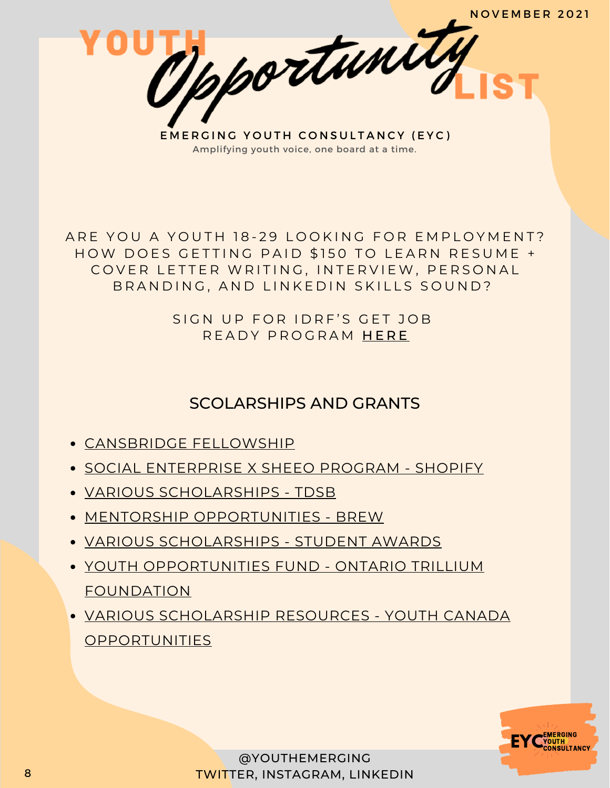ARE YOU A YOUTH 18-29 LOOKING FOR EMPLOYMENT? HOW DOES GETTING PAID \$150 TO LEARN RESUME + COVER LETTER WRITING, INTERVIEW, PERSONAL BRANDING, AND LINKEDIN SKILLS SOUND?

> SIGN UP FOR IDRF'S GET JOB READY PROGRAM [H](https://idrf.ca/project/getjobready/)ERE

#### SCOLARSHIPS AND GRANTS

- [CANSBRIDGE](https://www.cansbridgefellowship.com/) FELLOWSHIP
- SOCIAL [ENTERPRISE](https://shopifyxsheeoscholarship.splashthat.com/socialimpact) X SHEEO PROGRAM SHOPIFY
- VARIOUS [SCHOLARSHIPS](https://schoolweb.tdsb.on.ca/avondalesa/Scholarships) TDSB
- MENTORSHIP [OPPORTUNITIES](https://www.instagram.com/brew_ca/) BREW
- VARIOUS [SCHOLARSHIPS](https://studentawards.com/scholarships/era-electronic-recycling-association-scholarship/) STUDENT AWARDS
- YOUTH [OPPORTUNITIES](https://www.otf.ca/our-grants/youth-opportunities-fund) FUND ONTARIO TRILLIUM FOUNDATION
- VARIOUS SCHOLARSHIP RESOURCES YOUTH CANADA [OPPORTUNITIES](https://www.instagram.com/youthcanadaopportunities/?hl=en)